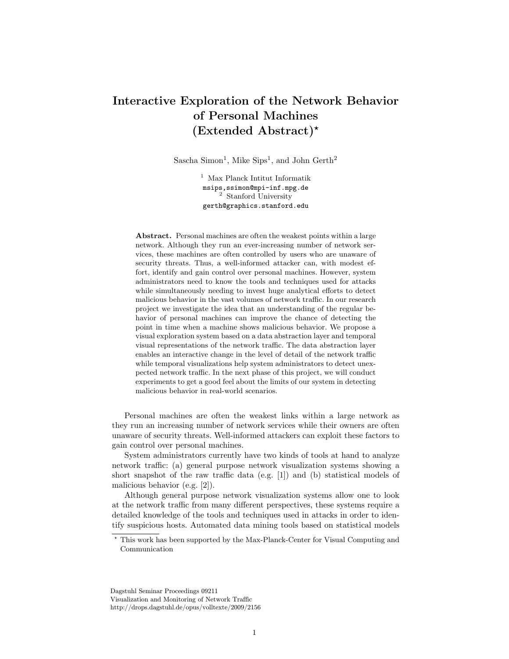## Interactive Exploration of the Network Behavior of Personal Machines  $(Extended Abstract)^*$

Sascha Simon<sup>1</sup>, Mike Sips<sup>1</sup>, and John Gerth<sup>2</sup>

<sup>1</sup> Max Planck Intitut Informatik msips,ssimon@mpi-inf.mpg.de <sup>2</sup> Stanford University gerth@graphics.stanford.edu

Abstract. Personal machines are often the weakest points within a large network. Although they run an ever-increasing number of network services, these machines are often controlled by users who are unaware of security threats. Thus, a well-informed attacker can, with modest effort, identify and gain control over personal machines. However, system administrators need to know the tools and techniques used for attacks while simultaneously needing to invest huge analytical efforts to detect malicious behavior in the vast volumes of network traffic. In our research project we investigate the idea that an understanding of the regular behavior of personal machines can improve the chance of detecting the point in time when a machine shows malicious behavior. We propose a visual exploration system based on a data abstraction layer and temporal visual representations of the network traffic. The data abstraction layer enables an interactive change in the level of detail of the network traffic while temporal visualizations help system administrators to detect unexpected network traffic. In the next phase of this project, we will conduct experiments to get a good feel about the limits of our system in detecting malicious behavior in real-world scenarios.

Personal machines are often the weakest links within a large network as they run an increasing number of network services while their owners are often unaware of security threats. Well-informed attackers can exploit these factors to gain control over personal machines.

System administrators currently have two kinds of tools at hand to analyze network traffic: (a) general purpose network visualization systems showing a short snapshot of the raw traffic data (e.g. [1]) and (b) statistical models of malicious behavior (e.g. [2]).

Although general purpose network visualization systems allow one to look at the network traffic from many different perspectives, these systems require a detailed knowledge of the tools and techniques used in attacks in order to identify suspicious hosts. Automated data mining tools based on statistical models

Dagstuhl Seminar Proceedings 09211 Visualization and Monitoring of Network Traffic

http://drops.dagstuhl.de/opus/volltexte/2009/2156

<sup>?</sup> This work has been supported by the Max-Planck-Center for Visual Computing and Communication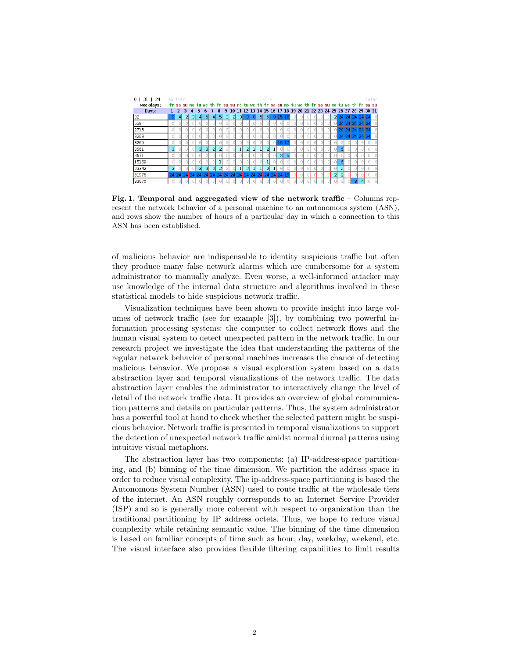

Fig. 1. Temporal and aggregated view of the network traffic – Columns represent the network behavior of a personal machine to an autonomous system (ASN), and rows show the number of hours of a particular day in which a connection to this ASN has been established.

of malicious behavior are indispensable to identity suspicious traffic but often they produce many false network alarms which are cumbersome for a system administrator to manually analyze. Even worse, a well-informed attacker may use knowledge of the internal data structure and algorithms involved in these statistical models to hide suspicious network traffic.

Visualization techniques have been shown to provide insight into large volumes of network traffic (see for example [3]), by combining two powerful information processing systems: the computer to collect network flows and the human visual system to detect unexpected pattern in the network traffic. In our research project we investigate the idea that understanding the patterns of the regular network behavior of personal machines increases the chance of detecting malicious behavior. We propose a visual exploration system based on a data abstraction layer and temporal visualizations of the network traffic. The data abstraction layer enables the administrator to interactively change the level of detail of the network traffic data. It provides an overview of global communication patterns and details on particular patterns. Thus, the system administrator has a powerful tool at hand to check whether the selected pattern might be suspicious behavior. Network traffic is presented in temporal visualizations to support the detection of unexpected network traffic amidst normal diurnal patterns using intuitive visual metaphors.

The abstraction layer has two components: (a) IP-address-space partitioning, and (b) binning of the time dimension. We partition the address space in order to reduce visual complexity. The ip-address-space partitioning is based the Autonomous System Number (ASN) used to route traffic at the wholesale tiers of the internet. An ASN roughly corresponds to an Internet Service Provider (ISP) and so is generally more coherent with respect to organization than the traditional partitioning by IP address octets. Thus, we hope to reduce visual complexity while retaining semantic value. The binning of the time dimension is based on familiar concepts of time such as hour, day, weekday, weekend, etc. The visual interface also provides flexible filtering capabilities to limit results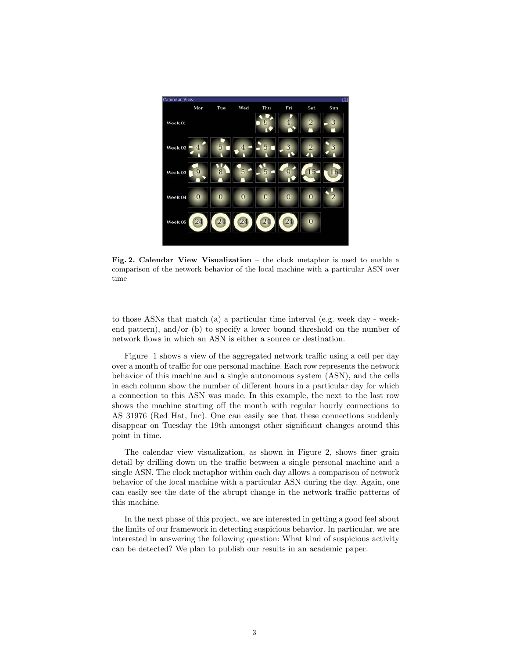

Fig. 2. Calendar View Visualization – the clock metaphor is used to enable a comparison of the network behavior of the local machine with a particular ASN over time

to those ASNs that match (a) a particular time interval (e.g. week day - weekend pattern), and/or (b) to specify a lower bound threshold on the number of network flows in which an ASN is either a source or destination.

Figure 1 shows a view of the aggregated network traffic using a cell per day over a month of traffic for one personal machine. Each row represents the network behavior of this machine and a single autonomous system (ASN), and the cells in each column show the number of different hours in a particular day for which a connection to this ASN was made. In this example, the next to the last row shows the machine starting off the month with regular hourly connections to AS 31976 (Red Hat, Inc). One can easily see that these connections suddenly disappear on Tuesday the 19th amongst other significant changes around this point in time.

The calendar view visualization, as shown in Figure 2, shows finer grain detail by drilling down on the traffic between a single personal machine and a single ASN. The clock metaphor within each day allows a comparison of network behavior of the local machine with a particular ASN during the day. Again, one can easily see the date of the abrupt change in the network traffic patterns of this machine.

In the next phase of this project, we are interested in getting a good feel about the limits of our framework in detecting suspicious behavior. In particular, we are interested in answering the following question: What kind of suspicious activity can be detected? We plan to publish our results in an academic paper.